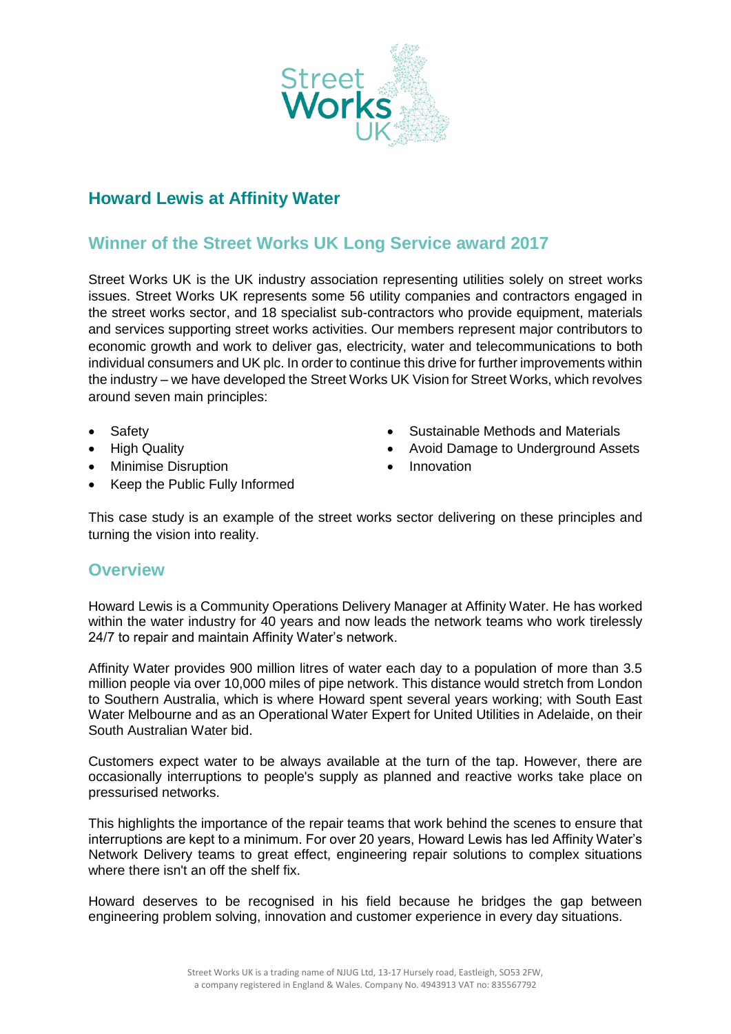

## **Howard Lewis at Affinity Water**

## **Winner of the Street Works UK Long Service award 2017**

Street Works UK is the UK industry association representing utilities solely on street works issues. Street Works UK represents some 56 utility companies and contractors engaged in the street works sector, and 18 specialist sub-contractors who provide equipment, materials and services supporting street works activities. Our members represent major contributors to economic growth and work to deliver gas, electricity, water and telecommunications to both individual consumers and UK plc. In order to continue this drive for further improvements within the industry – we have developed the Street Works UK Vision for Street Works, which revolves around seven main principles:

- Safety
- High Quality
- Minimise Disruption
- Keep the Public Fully Informed
- Sustainable Methods and Materials
- Avoid Damage to Underground Assets
- Innovation

This case study is an example of the street works sector delivering on these principles and turning the vision into reality.

## **Overview**

Howard Lewis is a Community Operations Delivery Manager at Affinity Water. He has worked within the water industry for 40 years and now leads the network teams who work tirelessly 24/7 to repair and maintain Affinity Water's network.

Affinity Water provides 900 million litres of water each day to a population of more than 3.5 million people via over 10,000 miles of pipe network. This distance would stretch from London to Southern Australia, which is where Howard spent several years working; with South East Water Melbourne and as an Operational Water Expert for United Utilities in Adelaide, on their South Australian Water bid.

Customers expect water to be always available at the turn of the tap. However, there are occasionally interruptions to people's supply as planned and reactive works take place on pressurised networks.

This highlights the importance of the repair teams that work behind the scenes to ensure that interruptions are kept to a minimum. For over 20 years, Howard Lewis has led Affinity Water's Network Delivery teams to great effect, engineering repair solutions to complex situations where there isn't an off the shelf fix.

Howard deserves to be recognised in his field because he bridges the gap between engineering problem solving, innovation and customer experience in every day situations.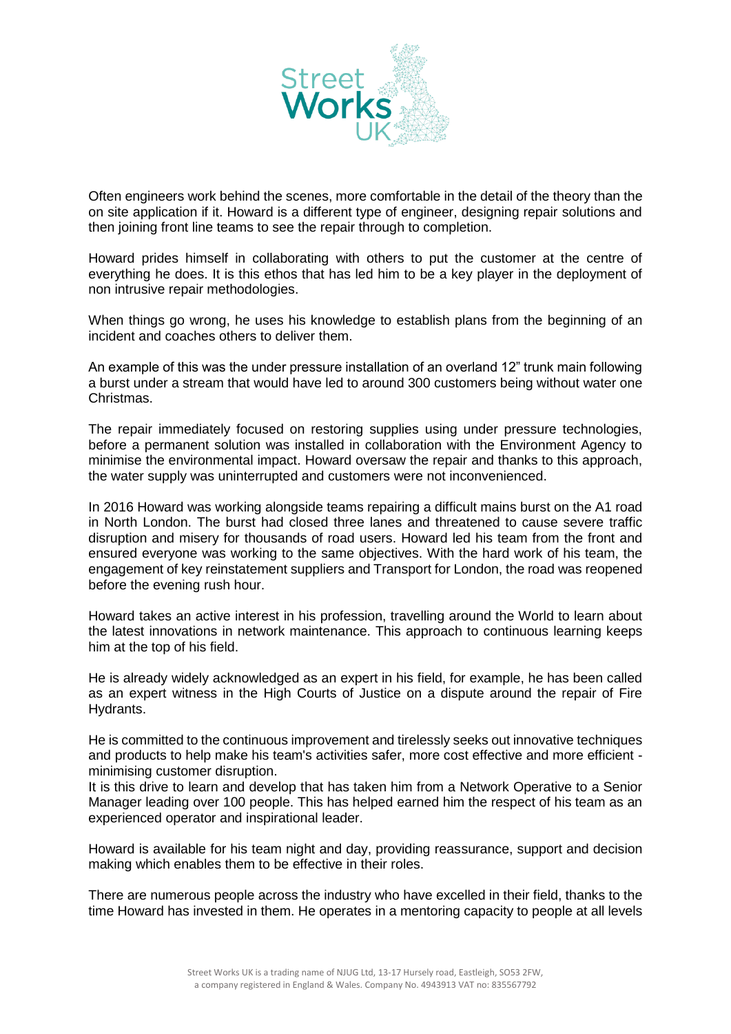

Often engineers work behind the scenes, more comfortable in the detail of the theory than the on site application if it. Howard is a different type of engineer, designing repair solutions and then joining front line teams to see the repair through to completion.

Howard prides himself in collaborating with others to put the customer at the centre of everything he does. It is this ethos that has led him to be a key player in the deployment of non intrusive repair methodologies.

When things go wrong, he uses his knowledge to establish plans from the beginning of an incident and coaches others to deliver them.

An example of this was the under pressure installation of an overland 12" trunk main following a burst under a stream that would have led to around 300 customers being without water one Christmas.

The repair immediately focused on restoring supplies using under pressure technologies, before a permanent solution was installed in collaboration with the Environment Agency to minimise the environmental impact. Howard oversaw the repair and thanks to this approach, the water supply was uninterrupted and customers were not inconvenienced.

In 2016 Howard was working alongside teams repairing a difficult mains burst on the A1 road in North London. The burst had closed three lanes and threatened to cause severe traffic disruption and misery for thousands of road users. Howard led his team from the front and ensured everyone was working to the same objectives. With the hard work of his team, the engagement of key reinstatement suppliers and Transport for London, the road was reopened before the evening rush hour.

Howard takes an active interest in his profession, travelling around the World to learn about the latest innovations in network maintenance. This approach to continuous learning keeps him at the top of his field.

He is already widely acknowledged as an expert in his field, for example, he has been called as an expert witness in the High Courts of Justice on a dispute around the repair of Fire Hydrants.

He is committed to the continuous improvement and tirelessly seeks out innovative techniques and products to help make his team's activities safer, more cost effective and more efficient minimising customer disruption.

It is this drive to learn and develop that has taken him from a Network Operative to a Senior Manager leading over 100 people. This has helped earned him the respect of his team as an experienced operator and inspirational leader.

Howard is available for his team night and day, providing reassurance, support and decision making which enables them to be effective in their roles.

There are numerous people across the industry who have excelled in their field, thanks to the time Howard has invested in them. He operates in a mentoring capacity to people at all levels